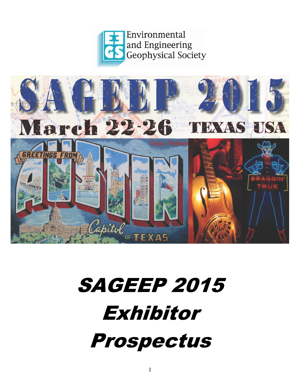



# SAGEEP 2015 Exhibitor Prospectus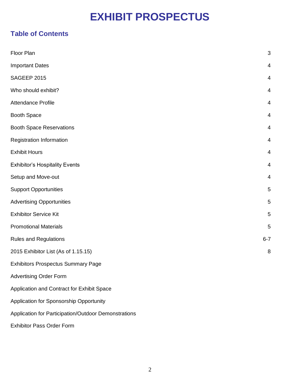## **EXHIBIT PROSPECTUS**

### **Table of Contents**

| Floor Plan                                           | 3              |
|------------------------------------------------------|----------------|
| <b>Important Dates</b>                               | 4              |
| SAGEEP 2015                                          | 4              |
| Who should exhibit?                                  | 4              |
| <b>Attendance Profile</b>                            | 4              |
| <b>Booth Space</b>                                   | 4              |
| <b>Booth Space Reservations</b>                      | 4              |
| <b>Registration Information</b>                      | 4              |
| <b>Exhibit Hours</b>                                 | $\overline{4}$ |
| <b>Exhibitor's Hospitality Events</b>                | 4              |
| Setup and Move-out                                   | 4              |
| <b>Support Opportunities</b>                         | 5              |
| <b>Advertising Opportunities</b>                     | 5              |
| <b>Exhibitor Service Kit</b>                         | 5              |
| <b>Promotional Materials</b>                         | 5              |
| <b>Rules and Regulations</b>                         | $6 - 7$        |
| 2015 Exhibitor List (As of 1.15.15)                  | 8              |
| <b>Exhibitors Prospectus Summary Page</b>            |                |
| <b>Advertising Order Form</b>                        |                |
| Application and Contract for Exhibit Space           |                |
| Application for Sponsorship Opportunity              |                |
| Application for Participation/Outdoor Demonstrations |                |
| <b>Exhibitor Pass Order Form</b>                     |                |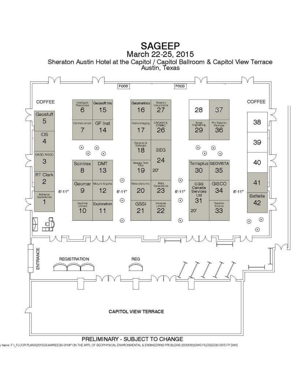## **SAGEEP**

March 22-25, 2015

Sheraton Austin Hotel at the Capitol / Capitol Ballroom & Capitol View Terrace<br>Austin, Texas



A Name: F.1\_FLOOR PLANS\2015\03-MAR\EEGS-SYMP ON THE APPL OF GEOPHYSICAL ENVIRONMENTAL & ENGINEERING PROBLEMS (XXXXXX)\DWG FILES\EEGS 0315 FP.DWG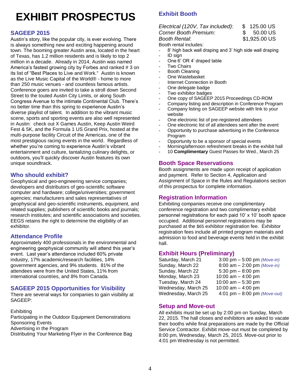## **EXHIBIT PROSPECTUS**

#### **SAGEEP 2015**

Austin's story, like the popular city, is ever evolving. There is always something new and exciting happening around town. The booming greater Austin area, located in the heart of Texas, has 1.2 million residents and is likely to top 2 million in a decade. Already in 2014, Austin was named America's fastest growing city by Forbes and ranked # 3 on its list of "Best Places to Live and Work." Austin is known as the Live Music Capital of the World® - home to more than 250 music venues - and countless famous artists. Conference goers are invited to take a stroll down Second Street to the touted Austin City Limits, or along South Congress Avenue to the intimate Continental Club. There's no better time than this spring to experience Austin's diverse playlist of talent. In addition to the vibrant music scene, sports and sporting events are also well represented in Austin: check out X Games Austin, Keep Austin Weird Fest & 5K, and the Formula 1 US Grand Prix, hosted at the multi-purpose facility Circuit of the Americas, one of the most prestigious racing events in the world. Regardless of whether you're coming to experience Austin's vibrant entertainment and culture, tantalizing culinary delights, or outdoors, you'll quickly discover Austin features its own unique soundtrack.

#### **Who should exhibit?**

Geophysical and geo-engineering service companies; developers and distributors of geo-scientific software computer and hardware; college/universities; government agencies; manufacturers and sales representatives of geophysical and geo-scientific instruments, equipment, and related supplies; publishers of scientific books and journals; research institutes; and scientific associations and societies. EEGS retains the right to determine the eligibility of an exhibitor.

#### **Attendance Profile**

Approximately 400 professionals in the environmental and engineering geophysical community will attend this year's event. Last year's attendance included 60% private industry, 17% academic/research facilities, 14% government agencies, and 9% students. 81% of the attendees were from the United States, 11% from international countries, and 8% from Canada.

#### **SAGEEP 2015 Opportunities for Visibility**

There are several ways for companies to gain visibility at SAGEEP:

**Exhibiting** Participating in the Outdoor Equipment Demonstrations Sponsoring Events Advertising in the Program Distributing Your Marketing Flyer in the Conference Bag

### **Exhibit Booth**

#### *Electrical (120V, Tax included)*: \$ 125.00 US *Corner Booth Premium:* \$ 50.00 US

*Booth Rental*: \$1,925.00 US

Booth rental includes:

- 8' high back wall draping and 3' high side wall draping
- ID sign
- One 6' OR 4' draped table
- **Two Chairs**
- Booth Cleaning
- One Wastebasket
- Internet Connection in Booth
- One delegate badge
- Two exhibitor badges
- One copy of SAGEEP 2015 Proceedings CD-ROM
- Company listing and description in Conference Program
- Company listing on SAGEEP website with link to your
- website
- One electronic list of pre-registered attendees
- One electronic list of all attendees sent after the event
- Opportunity to purchase advertising in the Conference Program
- Opportunity to be a sponsor of special events
- Morning/afternoon refreshment breaks in the exhibit hall
- 10 **Complimentary** Guest Passes for Wed., March 25

#### **Booth Space Reservations**

Booth assignments are made upon receipt of application and payment. Refer to Section 4, Application and Assignment of Space in the Rules and Regulations section of this prospectus for complete information.

#### **Registration Information**

Exhibiting companies receive one complimentary conference registration and two complimentary exhibit personnel registrations for each paid 10' x 10' booth space occupied. Additional personnel registrations may be purchased at the \$65 exhibitor registration fee. Exhibitor registration fees include all printed program materials and admission to food and beverage events held in the exhibit hall.

**Exhibit Hours (Preliminary)** Saturday, March 21 3:00 pm – 5:00 pm *(Move-in)* Sunday, March 22 8:00 am – 2:00 pm *(Move-in)* Sunday, March 22 5:30 pm – 8:00 pm Monday, March 23 10:00 am – 4:00 pm Tuesday, March 24 10:00 am – 5:30 pm Wednesday, March  $25 - 10:00$  am  $- 4:00$  pm Wednesday, March 25 4:01 pm – 8:00 pm *(Move-out)*

#### **Setup and Move-out**

All exhibits must be set up by 2:00 pm on Sunday, March 22, 2015. The hall closes and exhibitors are asked to vacate their booths while final preparations are made by the Official Service Contractor. Exhibit move-out must be completed by 8:00 pm, Wednesday, March 25, 2015. Move-out prior to 4:01 pm Wednesday is not permitted.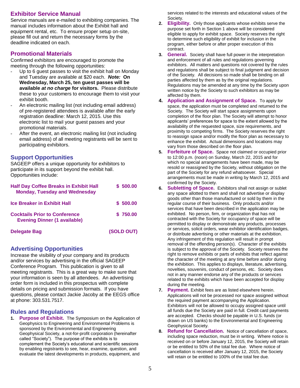#### **Exhibitor Service Manual**

Service manuals are e-mailed to exhibiting companies. The manual includes information about the Exhibit hall and equipment rental, etc. To ensure proper setup on-site, please fill out and return the necessary forms by the deadline indicated on each.

#### **Promotional Materials**

Confirmed exhibitors are encouraged to promote the meeting through the following opportunities:

- Up to 6 guest passes to visit the exhibit hall on Monday and Tuesday are available at \$20 each. *Note:* **On Wednesday, March 25, ten guest passes will be available** *at no charge* **for visitors.** Please distribute these to your customers to encourage them to visit your exhibit booth.
- An electronic mailing list (not including email address) of pre-registered attendees is available after the early registration deadline: March 12, 2015. Use this electronic list to mail your guest passes and your promotional materials.
- After the event, an electronic mailing list (not including email address) of all meeting registrants will be sent to participating exhibitors.

#### **Support Opportunities**

SAGEEP offers a unique opportunity for exhibitors to participate in its support beyond the exhibit hall. Opportunities include:

| <b>Half Day Coffee Breaks in Exhibit Hall</b><br><b>Monday, Tuesday and Wednesday</b> | \$500.00   |
|---------------------------------------------------------------------------------------|------------|
| <b>Ice Breaker in Exhibit Hall</b>                                                    | \$500.00   |
| <b>Cocktails Prior to Conference</b><br><b>Evening Dinner (1 available)</b>           | \$750.00   |
| <b>Delegate Bag</b>                                                                   | (SOLD OUT) |

#### **Advertising Opportunities**

Increase the visibility of your company and its products and/or services by advertising in the official SAGEEP Conference Program. This publication is given to all meeting registrants. This is a great way to make sure that your information is seen by all attendees. An advertising order form is included in this prospectus with complete details on pricing and submission formats. If you have questions, please contact Jackie Jacoby at the EEGS office at phone: 303.531.7517.

#### **Rules and Regulations**

**1. Purpose of Exhibit.** The Symposium on the Application of Geophysics to Engineering and Environmental Problems is sponsored by the Environmental and Engineering Geophysical Society, a not-for-profit corporation (hereinafter called "Society"). The purpose of the exhibits is to complement the Society's educational and scientific sessions by enabling registrants to see, hear, examine, question, and evaluate the latest developments in products, equipment, and

services related to the interests and educational values of the Society.

- **2. Eligibility.** Only those applicants whose exhibits serve the purpose set forth in Section 1 above will be considered eligible to apply for exhibit space. Society reserves the right to determine such eligibility of exhibit for inclusion in the program, either before or after proper execution of this contract.
- **3. General.** Society shall have full power in the interpretation and enforcement of all rules and regulations governing exhibitors. All matters and questions not covered by the rules and regulations shall be subject to final judgment and decision of the Society. All decisions so made shall be binding on all parties affected by them as by the original regulations. Regulations may be amended at any time by the Society upon written notice by the Society to such exhibitors as may be affected by them.
- **4. Application and Assignment of Space.** To apply for space, the application must be completed and returned to the Society. The Society will start space assignments upon completion of the floor plan. The Society will attempt to honor applicants' preferences for space to the extent allowed by the availability of the requested space, size requirements, and proximity to competing firms. The Society reserves the right to reassign space and/or modify the floor plan as necessary to enhance the exhibit. Actual dimensions and locations may vary from those described on the floor plan.
- **5. Forfeiture of Space.** Space not claimed or occupied prior to 12:00 p.m. (noon) on Sunday, March 22, 2015 and for which no special arrangements have been made, may be resold or reassigned by the Society, without obligation on the part of the Society for any refund whatsoever. Special arrangements must be made in writing by March 12, 2015 and confirmed by the Society.
- **6. Subletting of Space.** Exhibitors shall not assign or sublet any space allotted to them and shall not advertise or display goods other than those manufactured or sold by them in the regular course of their business. Only products and/or services that have been described in the application may be exhibited. No person, firm, or organization that has not contracted with the Society for occupancy of space will be permitted to display or demonstrate any products, processes or services, solicit orders, wear exhibitor identification badges, or distribute advertising or other materials at the exhibition. Any infringement of this regulation will result in prompt removal of the offending person(s). Character of the exhibits is subject to the approval of the Society. Society reserves the right to remove exhibits or parts of exhibits that reflect against the character of the meeting at any time before and/or during the exhibition. This applies to displays, literature, advertising, novelties, souvenirs, conduct of persons, etc. Society does not in any manner endorse any of the products or services related to the exhibits which have been accepted for display during the meeting.
- **7. Payment.** Exhibit fees are as listed elsewhere herein. Applications will not be processed nor space assigned without the required payment accompanying the Application. Exhibitors will not be allowed to occupy assigned space until all funds due the Society are paid in full. Credit card payments are accepted. Checks should be payable in U.S. funds (or drawn on US banks) to the Environmental and Engineering Geophysical Society.
- **8. Refund for Cancellation.** Notice of cancellation of space, including space reduction, must be in writing. Where notice is received on or before January 12, 2015, the Society will retain or be entitled to 50% of the total fee due. Where notice of cancellation is received after January 12, 2015, the Society will retain or be entitled to 100% of the total fee due.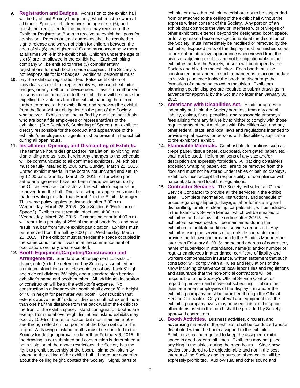- **9. Registration and Badges.** Admission to the exhibit hall will be by official Society badge only, which must be worn at all times. Spouses, children over the age of six (6), and guests not registered for the meeting may register at the Exhibitor Registration Booth to receive an exhibit hall pass for admission. Parents or legal guardians shall be required to sign a release and waiver of claim for children between the ages of six (6) and eighteen (18) and must accompany them at all times while in the exhibit hall. Children under the age of six (6) are not allowed in the exhibit hall. Each exhibiting company will be entitled to three (3) complimentary registrations for each booth space occupied. The Society is not responsible for lost badges. Additional personnel must
- **10.** pay the exhibitor registration fee. False certification of individuals as exhibitor representatives, misuse of exhibitor badges, or any method or device used to assist unauthorized persons to gain admission to the exhibit floor will be cause for expelling the violators from the exhibit, banning them from further entrance to the exhibit floor, and removing the exhibit from the floor without obligation on the part of the Society whatsoever. Exhibits shall be staffed by qualified individuals who are bona fide employees or representatives of the exhibitor. (See Section 6, Subletting of Space.) An exhibitor directly responsible for the conduct and appearance of the exhibitor's employees or agents must be present in the exhibit during all open hours.
- **11. Installation, Opening, and Dismantling of Exhibits.** The tentative hours designated for installation, exhibiting, and dismantling are as listed herein. Any changes to the schedule will be communicated to all confirmed exhibitors. All exhibits must be fully installed by 2:00 p.m., Sunday, March 22, 2015. Crated exhibit material in the booths not uncrated and set up by 12:00 p.m., Sunday, March 22, 2015, or for which prior setup arrangements have not been made, will be set up by the Official Service Contractor at the exhibitor's expense or removed from the hall. Prior late setup arrangements must be made in writing no later than March 1 to the Exhibit Manager.

This same policy applies to dismantle after 8:00 p.m., Wednesday, March 25, 2015. (See Section 5 "Forfeiture of Space.") Exhibits must remain intact until 4:00 p.m., Wednesday, March 26, 2015. Dismantling prior to 4:00 p.m. will result in a penalty of 25% of the total booth fees and may result in a ban from future exhibit participation. Exhibits must be removed from the hall by 8:00 p.m., Wednesday, March 25, 2015. The exhibitor must surrender the space occupied in the same condition as it was in at the commencement of occupation, ordinary wear excepted.

#### **12. Booth Equipment/Carpeting/Construction and**

**Arrangements.** Standard booth equipment consists of drape, color(s) to be determined by Society, assembled on aluminum stanchions and telescopic crossbars; back 8' high and side rail dividers 36" high, and a standard sign bearing exhibitor's name and booth number. All additional decoration or construction will be at the exhibitor's expense. No construction in a linear exhibit booth shall exceed 8' in height or 10' in height for perimeter wall booth. Construction that extends above the 36" side rail dividers shall not extend more than one half the distance from the back wall of the exhibit to the front of the exhibit space. Island configuration booths are exempt from the above height limitations; island exhibits may occupy 100% of the rental space, but must maintain a 50% see-through effect on that portion of the booth set up to 8' in height. A drawing of island booths must be submitted to the Society for design approval no later than February 6, 2015. If the drawing is not submitted and construction is determined to be in violation of the above restrictions, the Society has the right to prohibit assembly of the booth. Island exhibits may extend to the ceiling of the exhibit hall. If there are concerns about the ceiling height, contact the Society. Signs, parts of

exhibits or any other exhibit material are not to be suspended from or attached to the ceiling of the exhibit hall without the express written consent of the Society. Any portion of an exhibit that obstructs the view or interferes with privileges of other exhibitors, extends beyond the designated booth space, or for any reason becomes objectionable at the discretion of the Society, must immediately be modified or removed by the exhibitor. Exposed parts of the display must be finished so as to present an attractive appearance when viewed from the aisles or adjoining exhibits and not be objectionable to their exhibitors and/or the Society, or such will be draped by the Society and billed to the exhibitor. Each booth must be constructed or arranged in such a manner as to accommodate its viewing audience inside the booth, to discourage the formation of a standing crowd in the aisles. Exhibitors planning special displays are required to submit drawings in advance for approval by the Society no later than January 30, 2015.

- **13. Americans with Disabilities Act.** Exhibitor agrees to indemnify and hold the Society harmless from any and all liability, claims, fines, penalties, and reasonable attorneys' fees arising from any failure by exhibitor to comply with those requirements of the Americans with Disabilities Act, and any other federal, state, and local laws and regulations intended to provide equal access for persons with disabilities, applicable to the exhibitor's exhibit.
- **14. Flammable Materials.** Combustible decorations such as crepe paper, tissue paper, cardboard, corrugated paper, etc., shall not be used. Helium balloons of any size and/or description are expressly forbidden. All packing containers, excelsior, wrapping paper, etc., are to be removed from the floor and must not be stored under tables or behind displays. Exhibitors must accept full responsibility for compliance with national, state, and local fire regulations.
- **15. Contractor Services.** The Society will select an Official Service Contractor to provide all the services in the exhibit area. Complete information, instructions, and schedule of prices regarding shipping, drayage, labor for installing and dismantling, furniture, cleaning, carpets, etc., will be included in the Exhibitors Service Manual, which will be emailed to exhibitors and also available on line after 2/2/15. An exhibitors' service desk will be maintained during the exhibition to facilitate additional services requested. Any exhibitor using the services of an outside contractor must provide the following information to the Exhibits Manager no later than February 6, 2015: name and address of contractor, name of supervisor in attendance, name(s) and/or number of regular employees in attendance, certificate of liability and workers compensation insurance, written statement that such contractor will comply with all rules and regulations of the show including observance of local labor rules and regulations and assurance that the non-official contractors will be responsible to the Society's Official Service Contractor regarding move-in and move-out scheduling. Labor other than permanent employees of the display firm and/or the exhibiting company must be furnished through the Official Service Contractor. Only material and equipment that the exhibiting company owns may be used in its exhibit space; other items used in the booth shall be provided by Societyapproved contractors.
- **16. Booth Activities.** Business activities, circulars, and advertising material of the exhibitor shall be conducted and/or distributed within the booth assigned to the exhibitor. Exhibitors shall be required to keep the assigned exhibit space in good order at all times. Exhibitors may not place anything in the aisles during the open hours. Side-show tactics considered to be objectionable and not in the best interest of the Society and its purpose of education will be expressly prohibited. Audio-visual and other sound and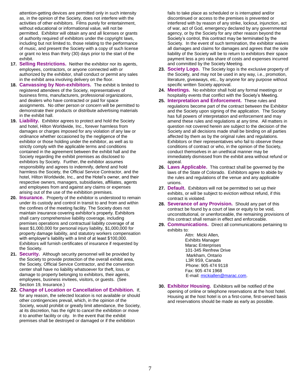attention-getting devices are permitted only in such intensity as, in the opinion of the Society, does not interfere with the activities of other exhibitors. Films purely for entertainment, without educational or informational value, will not be permitted. Exhibitor will obtain any and all licenses or grants of authority required of exhibitors under the copyright laws, including but not limited to, those relating to the performance of music, and present the Society with a copy of such license or grant no less than thirty (30) days prior to the start of the exhibit.

- **17. Selling Restrictions.** Neither the exhibitor nor its agents, employees, contractors, or anyone connected with or authorized by the exhibitor, shall conduct or permit any sales in the exhibit area involving delivery on the floor.
- **18. Canvassing by Non-exhibitors.** The exhibit is limited to registered attendees of the Society, representatives of business firms, manufacturers, professional organizations, and dealers who have contracted or paid for space assignments. No other person or concern will be permitted to demonstrate their products or distribute advertising materials in the exhibit hall.
- **19. Liability.** Exhibitor agrees to protect and hold the Society and hotel, Hilton Worldwide, Inc., forever harmless from damages or charges imposed for any violation of any law or ordinance whether occasioned by the negligence of the exhibitor or those holding under the exhibitor, as well as to strictly comply with the applicable terms and conditions contained in the agreement between the exhibit hall and the Society regarding the exhibit premises as disclosed to exhibitors by Society. Further, the exhibitor assumes responsibility and agrees to indemnify, defend and hold harmless the Society, the Official Service Contractor, and the hotel, Hilton Worldwide, Inc., and the Hotel's owner, and their respective owners, managers, subsidiaries, affiliates, agents and employees from and against any claims or expenses arising out of the use of the exhibition premises.
- **20. Insurance.** Property of the exhibitor is understood to remain under its custody and control in transit to and from and within the confines of the meeting facility. The Society does not maintain insurance covering exhibitor's property. Exhibitors shall carry comprehensive liability coverage, including premises operations and contractual liability coverage of at least \$1,000,000 for personal injury liability, \$1,000,000 for property damage liability, and statutory workers compensation with employer's liability with a limit of at least \$100,000. Exhibitors will furnish certificates of insurance if requested by the Society.
- **21. Security.** Although security personnel will be provided by the Society to provide protection of the overall exhibit area, the Society, Official Service Contractor, and the convention center shall have no liability whatsoever for theft, loss, or damage to property belonging to exhibitors, their agents, employees, business invitees, visitors, or guests. (See Section 19, Insurance.)
- **22. Change of Location or Cancellation of Exhibition.** If, for any reason, the selected location is not available or should other contingencies prevail, which, in the opinion of the Society, would prohibit or greatly limit attendance, the Society, at its discretion, has the right to cancel the exhibition or move it to another facility or city. In the event that the exhibit premises shall be destroyed or damaged or if the exhibition

fails to take place as scheduled or is interrupted and/or discontinued or access to the premises is prevented or interfered with by reason of any strike, lockout, injunction, act of war, act of God, emergency declared by any governmental agency, or by the Society for any other reason beyond the Society's control, this contract may be terminated by the Society. In the event of such termination, the exhibitor waives all damages and claims for damages and agrees that the sole liability of the Society will be to return to exhibitors their space payment less a pro rata share of costs and expenses incurred and committed by the Society Meeting.

- **23. Society Logo.** The Society logo is the exclusive property of the Society, and may not be used in any way, i.e., promotion, literature, giveaways, etc., by anyone for any purpose without specific written Society approval.
- **24. Meetings.** No exhibitor shall hold any formal meetings or hospitality events that conflict with the Society's Meeting.
- **25. Interpretation and Enforcement.** These rules and regulations become part of the contract between the Exhibitor and the Society upon signing of the application. The Society has full powers of interpretation and enforcement and may amend these rules and regulations at any time. All matters in question not covered herein are subject to the decision of the Society and all decisions made shall be binding on all parties affected by them as by the original rules and regulations. Exhibitors or their representatives who fail to observe these conditions of contract or who, in the opinion of the Society, conduct themselves in an unethical manner may be immediately dismissed from the exhibit area without refund or appeal.
- **26. Laws Applicable.** This contract shall be governed by the laws of the State of Colorado. Exhibitors agree to abide by the rules and regulations of the venue and any applicable unions.
- **27. Default.** Exhibitors will not be permitted to set up their exhibits, or will be subject to eviction without refund, if this contract is violated.
- **28. Severance of any Provision.** Should any part of this contract be found by a court of law or equity to be void, unconstitutional, or unenforceable, the remaining provisions of this contract shall remain in effect and enforceable.
- **29. Communications.** Direct all communications pertaining to exhibits to:
	- Attn: Micki Allen, Exhibits Manager Marac Enterprises 101-345 Renfrew Drive Markham, Ontario L3R 9S9, Canada Phone: 905 474 9118 Fax: 905 474 1968 E-mail[: mickiallen@marac.com.](mailto:mickiallen@marac.com)
- **30. Exhibitor Housing.** Exhibitors will be notified of the opening of online or telephone reservations at the host hotel. Housing at the host hotel is on a first-come, first-served basis and reservations should be made as early as possible.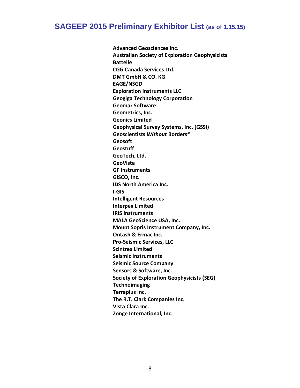### **SAGEEP 2015 Preliminary Exhibitor List (as of 1.15.15)**

**Advanced Geosciences Inc. Australian Society of Exploration Geophysicists Battelle CGG Canada Services Ltd. DMT GmbH & CO. KG EAGE/NSGD Exploration Instruments LLC Geogiga Technology Corporation Geomar Software Geometrics, Inc. Geonics Limited Geophysical Survey Systems, Inc. (GSSI) Geoscientists** *Without* **Borders® Geosoft Geostuff GeoTech, Ltd. GeoVista GF Instruments GISCO, Inc. IDS North America Inc. I-GIS Intelligent Resources Interpex Limited IRIS Instruments MALA GeoScience USA, Inc. Mount Sopris Instrument Company, Inc. Ontash & Ermac Inc. Pro-Seismic Services, LLC Scintrex Limited Seismic Instruments Seismic Source Company Sensors & Software, Inc. Society of Exploration Geophysicists (SEG) Technoimaging Terraplus Inc. The R.T. Clark Companies Inc. Vista Clara Inc. Zonge International, Inc.**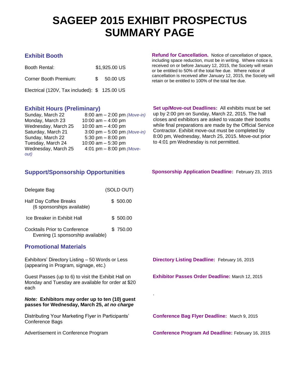## **SAGEEP 2015 EXHIBIT PROSPECTUS SUMMARY PAGE**

.

| Booth Rental:                                | \$1,925.00 US       |  |
|----------------------------------------------|---------------------|--|
| Corner Booth Premium:                        | $$50.00 \text{ US}$ |  |
| Electrical (120V, Tax included): \$125.00 US |                     |  |

**Exhibit Booth Refund for Cancellation.** Notice of cancellation of space, including space reduction, must be in writing. Where notice is received on or before January 12, 2015, the Society will retain or be entitled to 50% of the total fee due. Where notice of cancellation is received after January 12, 2015, the Society will retain or be entitled to 100% of the total fee due.

| Sunday, March 22    | 8:00 am $- 2:00$ pm (Move-in) |
|---------------------|-------------------------------|
| Monday, March 23    | 10:00 am $-$ 4:00 pm          |
| Wednesday, March 25 | 10:00 am $-$ 4:00 pm          |
| Saturday, March 21  | 3:00 pm $-$ 5:00 pm (Move-in) |
| Sunday, March 22    | 5:30 pm $-8:00$ pm            |
| Tuesday, March 24   | 10:00 am $-$ 5:30 pm          |
| Wednesday, March 25 | 4:01 pm $-$ 8:00 pm (Move-    |
| out)                |                               |

**Exhibit Hours (Preliminary) Set up/Move-out Deadlines:** All exhibits must be set up by 2:00 pm on Sunday, March 22, 2015. The hall closes and exhibitors are asked to vacate their booths while final preparations are made by the Official Service Contractor. Exhibit move-out must be completed by 8:00 pm, Wednesday, March 25, 2015. Move-out prior to 4:01 pm Wednesday is not permitted.

| Delegate Bag                                                       | (SOLD OUT) |
|--------------------------------------------------------------------|------------|
| Half Day Coffee Breaks<br>(6 sponsorships available)               | \$500.00   |
| Ice Breaker in Exhibit Hall                                        | \$ 500.00  |
| Cocktails Prior to Conference<br>Evening (1 sponsorship available) | \$750.00   |

#### **Promotional Materials**

Exhibitors' Directory Listing – 50 Words or Less (appearing in Program, signage, etc.)

Guest Passes (up to 6) to visit the Exhibit Hall on Monday and Tuesday are available for order at \$20 each

#### *Note:* **Exhibitors may order up to ten (10) guest passes for Wednesday, March 25,** *at no charge*

Distributing Your Marketing Flyer in Participants' Conference Bags

**Support/Sponsorship Opportunities Sponsorship Application Deadline:** February 23, 2015

**Directory Listing Deadline:** February 16, 2015

**Exhibitor Passes Order Deadline:** March 12, 2015

**Conference Bag Flyer Deadline:** March 9, 2015

Advertisement in Conference Program **Conference Program Ad Deadline:** February 16, 2015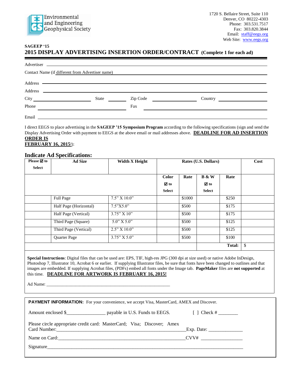

#### **SAGEEP '15**

#### **2015 DISPLAY ADVERTISING INSERTION ORDER/CONTRACT (Complete 1 for each ad)**

|         |                                                                                                                       |                                                                                                                                   | Contact Name (if different from Advertiser name) |  |
|---------|-----------------------------------------------------------------------------------------------------------------------|-----------------------------------------------------------------------------------------------------------------------------------|--------------------------------------------------|--|
|         |                                                                                                                       |                                                                                                                                   |                                                  |  |
|         |                                                                                                                       |                                                                                                                                   |                                                  |  |
| Address | <u> 1989 - Johann Harry Harry Harry Harry Harry Harry Harry Harry Harry Harry Harry Harry Harry Harry Harry Harry</u> |                                                                                                                                   |                                                  |  |
|         | State                                                                                                                 | Zip Code<br><u> 1990 - Alban III, prima prima prima prima prima prima prima prima prima prima prima prima prima prima prima p</u> |                                                  |  |
| Phone   |                                                                                                                       | Fax                                                                                                                               |                                                  |  |
| Email   | <u> 1980 - John Stein, Amerikaansk politiker (</u>                                                                    |                                                                                                                                   |                                                  |  |

I direct EEGS to place advertising in the **SAGEEP '15 Symposium Program** according to the following specifications (sign and send the Display Advertising Order with payment to EEGS at the above email or mail addresses above. **DEADLINE FOR AD INSERTION ORDER IS FEBRUARY 16, 2015**!):

#### **Indicate Ad Specifications:**

| Please $\boxtimes$ to | <b>Ad Size</b>         | <b>Width X Height</b>    |                |        | Rates (U.S. Dollars) |               | Cost         |
|-----------------------|------------------------|--------------------------|----------------|--------|----------------------|---------------|--------------|
| <b>Select</b>         |                        |                          |                |        |                      |               |              |
|                       |                        |                          | <b>Color</b>   | Rate   | <b>B</b> & W         | Rate          |              |
|                       |                        |                          | $\boxtimes$ to |        | ⊠ to                 |               |              |
|                       |                        |                          | <b>Select</b>  |        | <b>Select</b>        |               |              |
|                       | Full Page              | 7.5" X 10.0"             |                | \$1000 |                      | \$250         |              |
|                       | Half Page (Horizontal) | 7.5"X5.0"                |                | \$500  |                      | \$175         |              |
|                       | Half Page (Vertical)   | 3.75" X 10"              |                | \$500  |                      | \$175         |              |
|                       | Third Page (Square)    | $\frac{1}{5.0}$ " X 5.0" |                | \$500  |                      | \$125         |              |
|                       | Third Page (Vertical)  | 2.5" X 10.0"             |                | \$500  |                      | \$125         |              |
|                       | Quarter Page           | 3.75" X 5.0"             |                | \$500  |                      | \$100         |              |
|                       |                        |                          |                |        |                      | <b>Total:</b> | $\mathbb{S}$ |

**Special Instructions**: Digital files that can be used are: EPS, TIF, high-res JPG (300 dpi at size used) or native Adobe InDesign, Photoshop 7, Illustrator 10, Acrobat 6 or earlier. If supplying Illustrator files, be sure that fonts have been changed to outlines and that images are embedded. If supplying Acrobat files, (PDFs) embed all fonts under the Image tab. **PageMaker** files are **not supported** at this time. **DEADLINE FOR ARTWORK IS FEBRUARY 16, 2015!**

Ad Name:

| <b>PAYMENT INFORMATION:</b> For your convenience, we accept Visa, MasterCard, AMEX and Discover. |                                                               |
|--------------------------------------------------------------------------------------------------|---------------------------------------------------------------|
| Amount enclosed \$                                                                               |                                                               |
| Please circle appropriate credit card: MasterCard; Visa; Discover; Amex                          | Exp. Date: $\frac{1}{\sqrt{1-\frac{1}{2}} \cdot \frac{1}{2}}$ |
| Name on Card: $CVV#$ $CVV#$                                                                      |                                                               |
| Signature                                                                                        |                                                               |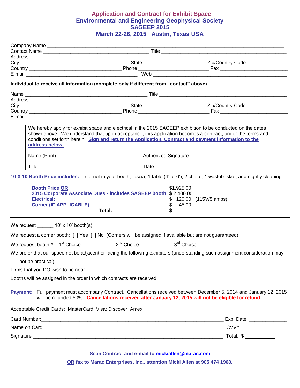#### **Application and Contract for Exhibit Space Environmental and Engineering Geophysical Society SAGEEP 2015 March 22-26, 2015 Austin, Texas USA**

|                                                                              |                                                                                                          | <u> 1980 - Johann Barbara, martxa alemaniar arg</u>                                                                                                                                                                                                                                                                               |
|------------------------------------------------------------------------------|----------------------------------------------------------------------------------------------------------|-----------------------------------------------------------------------------------------------------------------------------------------------------------------------------------------------------------------------------------------------------------------------------------------------------------------------------------|
|                                                                              |                                                                                                          |                                                                                                                                                                                                                                                                                                                                   |
|                                                                              |                                                                                                          |                                                                                                                                                                                                                                                                                                                                   |
|                                                                              | Individual to receive all information (complete only if different from "contact" above).                 |                                                                                                                                                                                                                                                                                                                                   |
|                                                                              |                                                                                                          |                                                                                                                                                                                                                                                                                                                                   |
|                                                                              |                                                                                                          |                                                                                                                                                                                                                                                                                                                                   |
|                                                                              |                                                                                                          | Country <b>Example 20</b> Phone <b>Country EXAMPLE 20 Phone EXAMPLE 20 Phone EXAMPLE 20 Phone EXAMPLE 20 Phone EXAMPLE 20 Phone EXAMPLE 20 Phone EXAMPLE 20 Phone EXAMPLE 20 Phone EXAMPLE 20 Phone EXAMPLE 20 Ph</b>                                                                                                             |
|                                                                              |                                                                                                          |                                                                                                                                                                                                                                                                                                                                   |
| address below.                                                               |                                                                                                          | We hereby apply for exhibit space and electrical in the 2015 SAGEEP exhibition to be conducted on the dates<br>shown above. We understand that upon acceptance, this application becomes a contract, under the terms and<br>conditions set forth herein. Sign and return the Application, Contract and payment information to the |
|                                                                              |                                                                                                          |                                                                                                                                                                                                                                                                                                                                   |
|                                                                              |                                                                                                          |                                                                                                                                                                                                                                                                                                                                   |
| <b>Booth Price OR</b><br><b>Electrical:</b><br><b>Corner (IF APPLICABLE)</b> | 2015 Corporate Associate Dues - includes SAGEEP booth \$2,400.00<br>Total:                               | \$1,925.00<br>$$120.00$ (115V/5 amps)<br>\$ 45.00                                                                                                                                                                                                                                                                                 |
| We request $10' \times 10'$ booth(s).                                        |                                                                                                          |                                                                                                                                                                                                                                                                                                                                   |
|                                                                              | We request a corner booth: [ ] Yes [ ] No (Corners will be assigned if available but are not guaranteed) |                                                                                                                                                                                                                                                                                                                                   |
|                                                                              |                                                                                                          |                                                                                                                                                                                                                                                                                                                                   |
|                                                                              |                                                                                                          | We prefer that our space not be adjacent or facing the following exhibitors (understanding such assignment consideration may                                                                                                                                                                                                      |
| not be practical): _                                                         |                                                                                                          |                                                                                                                                                                                                                                                                                                                                   |
|                                                                              |                                                                                                          |                                                                                                                                                                                                                                                                                                                                   |
|                                                                              | Booths will be assigned in the order in which contracts are received.                                    |                                                                                                                                                                                                                                                                                                                                   |
|                                                                              |                                                                                                          | Payment: Full payment must accompany Contract. Cancellations received between December 5, 2014 and January 12, 2015<br>will be refunded 50%. Cancellations received after January 12, 2015 will not be eligible for refund.                                                                                                       |
|                                                                              | Acceptable Credit Cards: MasterCard; Visa; Discover; Amex                                                |                                                                                                                                                                                                                                                                                                                                   |
|                                                                              |                                                                                                          |                                                                                                                                                                                                                                                                                                                                   |
|                                                                              |                                                                                                          |                                                                                                                                                                                                                                                                                                                                   |
|                                                                              |                                                                                                          |                                                                                                                                                                                                                                                                                                                                   |

**Scan Contract and e-mail to [mickiallen@marac.com](mailto:mickiallen@marac.com)**

**OR fax to Marac Enterprises, Inc., attention Micki Allen at 905 474 1968.**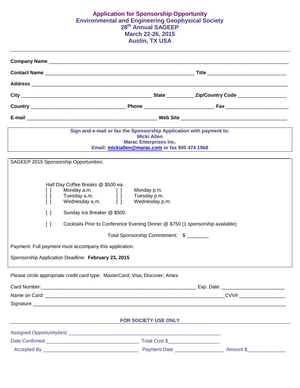#### **Application for Sponsorship Opportunity Environmental and Engineering Geophysical Society 28th Annual SAGEEP March 22-26, 2015 Austin, TX USA**

| Sign and e-mail or fax the Sponsorship Application with payment to:                                                                                                                                                                                                                                                                                                                                       | <b>Micki Allen</b><br><b>Marac Enterprises Inc.</b><br>Email: mickiallen@marac.com or fax 905 474 1968 |  |
|-----------------------------------------------------------------------------------------------------------------------------------------------------------------------------------------------------------------------------------------------------------------------------------------------------------------------------------------------------------------------------------------------------------|--------------------------------------------------------------------------------------------------------|--|
| SAGEEP 2015 Sponsorship Opportunities:                                                                                                                                                                                                                                                                                                                                                                    |                                                                                                        |  |
| Half Day Coffee Breaks @ \$500 ea.<br>Monday a.m. [ ]<br>ΓI<br>Tuesday a.m. $\begin{bmatrix} 1 \end{bmatrix}$<br>$\Box$<br>Wednesday $a.m.$ []<br>ΙI<br>Sunday Ice Breaker @ \$500<br>$\Box$<br>$\Box$<br>Cocktails Prior to Conference Evening Dinner @ \$750 (1 sponsorship available)<br>Payment: Full payment must accompany this application.<br>Sponsorship Application Deadline: February 23, 2015 | Monday p.m.<br>Tuesday p.m.<br>Wednesday p.m.<br>Total Sponsorship Commitment: \$                      |  |
| Please circle appropriate credit card type: MasterCard; Visa; Discover; Amex                                                                                                                                                                                                                                                                                                                              |                                                                                                        |  |
|                                                                                                                                                                                                                                                                                                                                                                                                           |                                                                                                        |  |
|                                                                                                                                                                                                                                                                                                                                                                                                           |                                                                                                        |  |
|                                                                                                                                                                                                                                                                                                                                                                                                           | FOR SOCIETY USE ONLY                                                                                   |  |
|                                                                                                                                                                                                                                                                                                                                                                                                           |                                                                                                        |  |
|                                                                                                                                                                                                                                                                                                                                                                                                           |                                                                                                        |  |
|                                                                                                                                                                                                                                                                                                                                                                                                           |                                                                                                        |  |